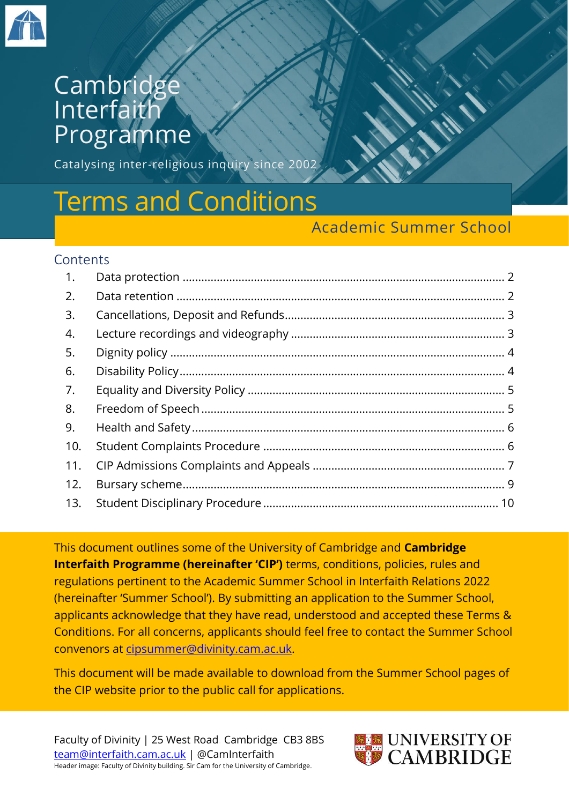

## **Cambridge Interfaith** Programme

Catalysing inter-religious inquiry since 2002

# Terms and Conditions

#### Academic Summer School

#### **Contents**

| 1.  |  |
|-----|--|
| 2.  |  |
| 3.  |  |
| 4.  |  |
| 5.  |  |
| 6.  |  |
| 7.  |  |
| 8.  |  |
| 9.  |  |
| 10. |  |
| 11. |  |
| 12. |  |
| 13. |  |

This document outlines some of the University of Cambridge and **Cambridge Interfaith Programme (hereinafter 'CIP')** terms, conditions, policies, rules and regulations pertinent to the Academic Summer School in Interfaith Relations 2022 (hereinafter 'Summer School'). By submitting an application to the Summer School, applicants acknowledge that they have read, understood and accepted these Terms & Conditions. For all concerns, applicants should feel free to contact the Summer School convenors at [cipsummer@divinity.cam.ac.uk.](mailto:cipsummer@divinity.cam.ac.uk)

This document will be made available to download from the Summer School pages of the CIP website prior to the public call for applications.

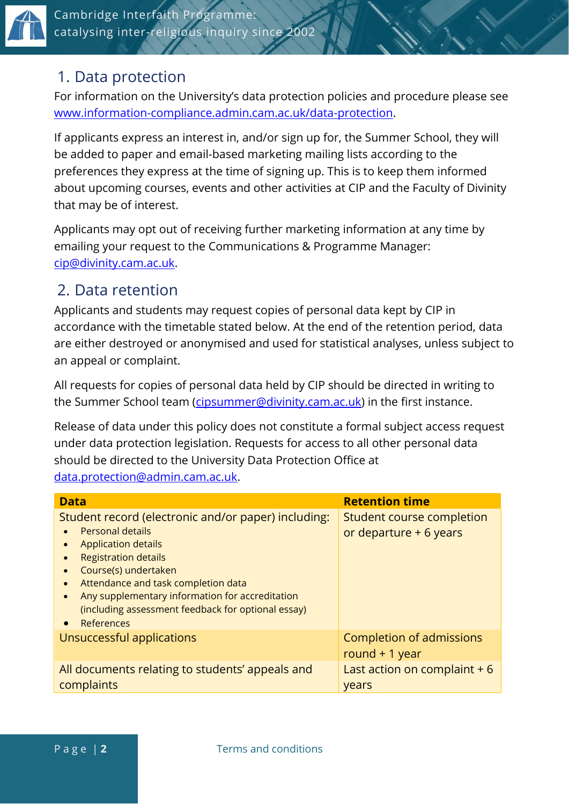

#### <span id="page-1-0"></span>1. Data protection

For information on the University's data protection policies and procedure please see [www.information-compliance.admin.cam.ac.uk/data-protection.](http://www.information-compliance.admin.cam.ac.uk/data-protection)

If applicants express an interest in, and/or sign up for, the Summer School, they will be added to paper and email-based marketing mailing lists according to the preferences they express at the time of signing up. This is to keep them informed about upcoming courses, events and other activities at CIP and the Faculty of Divinity that may be of interest.

Applicants may opt out of receiving further marketing information at any time by emailing your request to the Communications & Programme Manager: [cip@divinity.cam.ac.uk.](mailto:cipsummer@divinity.cam.ac.uk)

## <span id="page-1-1"></span>2. Data retention

Applicants and students may request copies of personal data kept by CIP in accordance with the timetable stated below. At the end of the retention period, data are either destroyed or anonymised and used for statistical analyses, unless subject to an appeal or complaint.

All requests for copies of personal data held by CIP should be directed in writing to the Summer School team [\(cipsummer@divinity.cam.ac.uk\)](mailto:cipsummer@divinity.cam.ac.uk) in the first instance.

Release of data under this policy does not constitute a formal subject access request under data protection legislation. Requests for access to all other personal data should be directed to the University Data Protection Office at [data.protection@admin.cam.ac.uk.](mailto:data.protection@admin.cam.ac.uk)

| <b>Data</b>                                                                                                                                                                                                                                                                                                                                                                           | <b>Retention time</b>                               |
|---------------------------------------------------------------------------------------------------------------------------------------------------------------------------------------------------------------------------------------------------------------------------------------------------------------------------------------------------------------------------------------|-----------------------------------------------------|
| Student record (electronic and/or paper) including:<br><b>Personal details</b><br><b>Application details</b><br><b>Registration details</b><br>$\bullet$<br>Course(s) undertaken<br>Attendance and task completion data<br>$\bullet$<br>Any supplementary information for accreditation<br>$\bullet$<br>(including assessment feedback for optional essay)<br>References<br>$\bullet$ | Student course completion<br>or departure + 6 years |
| Unsuccessful applications                                                                                                                                                                                                                                                                                                                                                             | Completion of admissions<br>round $+1$ year         |
| All documents relating to students' appeals and<br>complaints                                                                                                                                                                                                                                                                                                                         | Last action on complaint $+6$<br>years              |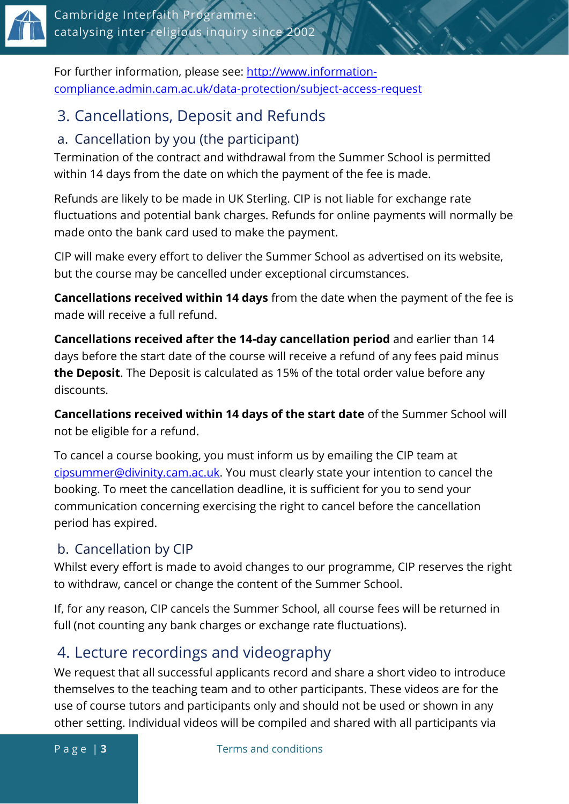

For further information, please see: [http://www.information](http://www.information-compliance.admin.cam.ac.uk/data-protection/subject-access-request)[compliance.admin.cam.ac.uk/data-protection/subject-access-request](http://www.information-compliance.admin.cam.ac.uk/data-protection/subject-access-request)

## <span id="page-2-0"></span>3. Cancellations, Deposit and Refunds

#### a. Cancellation by you (the participant)

Termination of the contract and withdrawal from the Summer School is permitted within 14 days from the date on which the payment of the fee is made.

Refunds are likely to be made in UK Sterling. CIP is not liable for exchange rate fluctuations and potential bank charges. Refunds for online payments will normally be made onto the bank card used to make the payment.

CIP will make every effort to deliver the Summer School as advertised on its website, but the course may be cancelled under exceptional circumstances.

**Cancellations received within 14 days** from the date when the payment of the fee is made will receive a full refund.

**Cancellations received after the 14-day cancellation period** and earlier than 14 days before the start date of the course will receive a refund of any fees paid minus **the Deposit**. The Deposit is calculated as 15% of the total order value before any discounts.

**Cancellations received within 14 days of the start date** of the Summer School will not be eligible for a refund.

To cancel a course booking, you must inform us by emailing the CIP team at [cipsummer@divinity.cam.ac.uk.](mailto:cipsummer@divinity.cam.ac.uk) You must clearly state your intention to cancel the booking. To meet the cancellation deadline, it is sufficient for you to send your communication concerning exercising the right to cancel before the cancellation period has expired.

#### b. Cancellation by CIP

Whilst every effort is made to avoid changes to our programme, CIP reserves the right to withdraw, cancel or change the content of the Summer School.

If, for any reason, CIP cancels the Summer School, all course fees will be returned in full (not counting any bank charges or exchange rate fluctuations).

## <span id="page-2-1"></span>4. Lecture recordings and videography

We request that all successful applicants record and share a short video to introduce themselves to the teaching team and to other participants. These videos are for the use of course tutors and participants only and should not be used or shown in any other setting. Individual videos will be compiled and shared with all participants via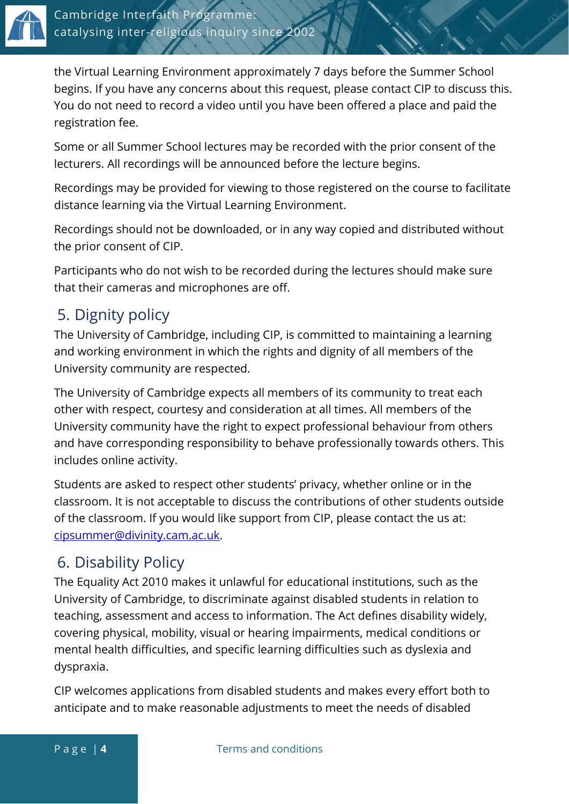

the Virtual Learning Environment approximately 7 days before the Summer School begins. If you have any concerns about this request, please contact CIP to discuss this. You do not need to record a video until you have been offered a place and paid the registration fee.

Some or all Summer School lectures may be recorded with the prior consent of the lecturers. All recordings will be announced before the lecture begins.

Recordings may be provided for viewing to those registered on the course to facilitate distance learning via the Virtual Learning Environment.

Recordings should not be downloaded, or in any way copied and distributed without the prior consent of CIP.

Participants who do not wish to be recorded during the lectures should make sure that their cameras and microphones are off.

## <span id="page-3-0"></span>5. Dignity policy

The University of Cambridge, including CIP, is committed to maintaining a learning and working environment in which the rights and dignity of all members of the University community are respected.

The University of Cambridge expects all members of its community to treat each other with respect, courtesy and consideration at all times. All members of the University community have the right to expect professional behaviour from others and have corresponding responsibility to behave professionally towards others. This includes online activity.

Students are asked to respect other students' privacy, whether online or in the classroom. It is not acceptable to discuss the contributions of other students outside of the classroom. If you would like support from CIP, please contact the us at: [cipsummer@divinity.cam.ac.uk.](mailto:cipsummer@divinity.cam.ac.uk)

#### <span id="page-3-1"></span>6. Disability Policy

The Equality Act 2010 makes it unlawful for educational institutions, such as the University of Cambridge, to discriminate against disabled students in relation to teaching, assessment and access to information. The Act defines disability widely, covering physical, mobility, visual or hearing impairments, medical conditions or mental health difficulties, and specific learning difficulties such as dyslexia and dyspraxia.

CIP welcomes applications from disabled students and makes every effort both to anticipate and to make reasonable adjustments to meet the needs of disabled

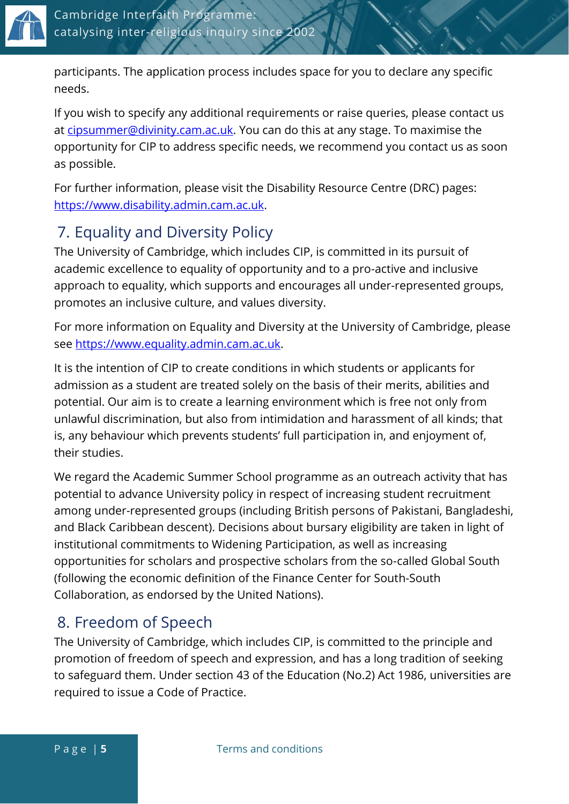

participants. The application process includes space for you to declare any specific needs.

If you wish to specify any additional requirements or raise queries, please contact us at [cipsummer@divinity.cam.ac.uk.](mailto:cipsummer@divinity.cam.ac.uk) You can do this at any stage. To maximise the opportunity for CIP to address specific needs, we recommend you contact us as soon as possible.

For further information, please visit the Disability Resource Centre (DRC) pages: [https://www.disability.admin.cam.ac.uk.](https://www.disability.admin.cam.ac.uk/)

## <span id="page-4-0"></span>7. Equality and Diversity Policy

The University of Cambridge, which includes CIP, is committed in its pursuit of academic excellence to equality of opportunity and to a pro-active and inclusive approach to equality, which supports and encourages all under-represented groups, promotes an inclusive culture, and values diversity.

For more information on Equality and Diversity at the University of Cambridge, please see [https://www.equality.admin.cam.ac.uk.](https://www.equality.admin.cam.ac.uk/)

It is the intention of CIP to create conditions in which students or applicants for admission as a student are treated solely on the basis of their merits, abilities and potential. Our aim is to create a learning environment which is free not only from unlawful discrimination, but also from intimidation and harassment of all kinds; that is, any behaviour which prevents students' full participation in, and enjoyment of, their studies.

We regard the Academic Summer School programme as an outreach activity that has potential to advance University policy in respect of increasing student recruitment among under-represented groups (including British persons of Pakistani, Bangladeshi, and Black Caribbean descent). Decisions about bursary eligibility are taken in light of institutional commitments to Widening Participation, as well as increasing opportunities for scholars and prospective scholars from the so-called Global South (following the economic definition of the Finance Center for South-South Collaboration, as endorsed by the United Nations).

## <span id="page-4-1"></span>8. Freedom of Speech

The University of Cambridge, which includes CIP, is committed to the principle and promotion of freedom of speech and expression, and has a long tradition of seeking to safeguard them. Under section 43 of the Education (No.2) Act 1986, universities are required to issue a Code of Practice.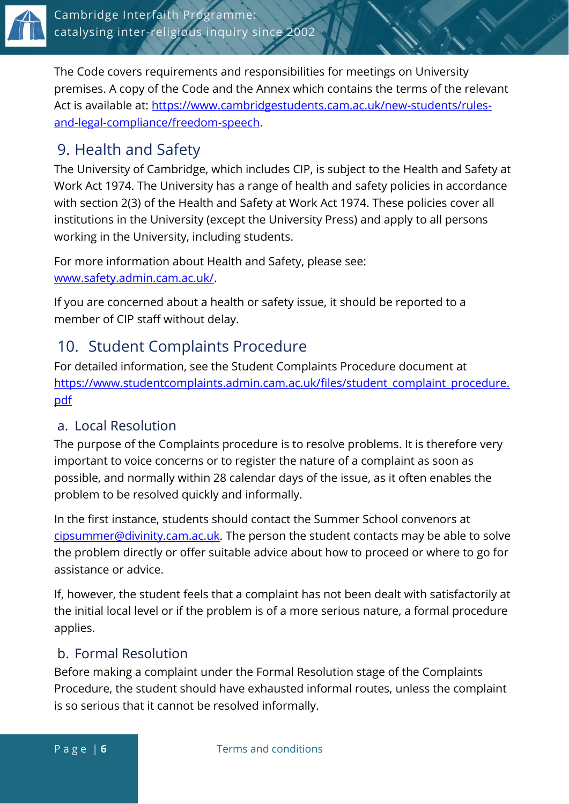

The Code covers requirements and responsibilities for meetings on University premises. A copy of the Code and the Annex which contains the terms of the relevant Act is available at: [https://www.cambridgestudents.cam.ac.uk/new-students/rules](https://www.cambridgestudents.cam.ac.uk/new-students/rules-and-legal-compliance/freedom-speech)[and-legal-compliance/freedom-speech.](https://www.cambridgestudents.cam.ac.uk/new-students/rules-and-legal-compliance/freedom-speech)

## <span id="page-5-0"></span>9. Health and Safety

The University of Cambridge, which includes CIP, is subject to the Health and Safety at Work Act 1974. The University has a range of health and safety policies in accordance with section 2(3) of the Health and Safety at Work Act 1974. These policies cover all institutions in the University (except the University Press) and apply to all persons working in the University, including students.

For more information about Health and Safety, please see: [www.safety.admin.cam.ac.uk/.](http://www.safety.admin.cam.ac.uk/)

If you are concerned about a health or safety issue, it should be reported to a member of CIP staff without delay.

## <span id="page-5-1"></span>10. Student Complaints Procedure

For detailed information, see the Student Complaints Procedure document at [https://www.studentcomplaints.admin.cam.ac.uk/files/student\\_complaint\\_procedure.](https://www.studentcomplaints.admin.cam.ac.uk/files/student_complaint_procedure.pdf) [pdf](https://www.studentcomplaints.admin.cam.ac.uk/files/student_complaint_procedure.pdf)

#### a. Local Resolution

The purpose of the Complaints procedure is to resolve problems. It is therefore very important to voice concerns or to register the nature of a complaint as soon as possible, and normally within 28 calendar days of the issue, as it often enables the problem to be resolved quickly and informally.

In the first instance, students should contact the Summer School convenors at [cipsummer@divinity.cam.ac.uk.](mailto:cipsummer@divinity.cam.ac.uk) The person the student contacts may be able to solve the problem directly or offer suitable advice about how to proceed or where to go for assistance or advice.

If, however, the student feels that a complaint has not been dealt with satisfactorily at the initial local level or if the problem is of a more serious nature, a formal procedure applies.

#### b. Formal Resolution

Before making a complaint under the Formal Resolution stage of the Complaints Procedure, the student should have exhausted informal routes, unless the complaint is so serious that it cannot be resolved informally.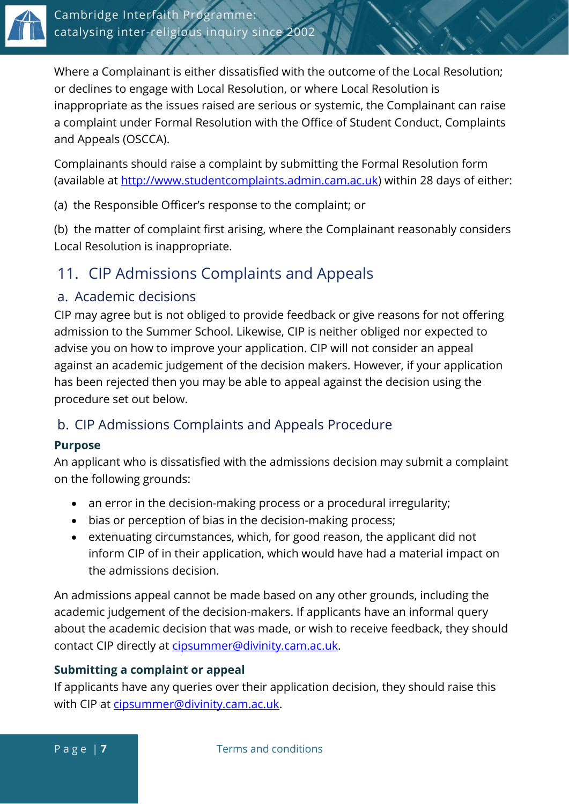

Where a Complainant is either dissatisfied with the outcome of the Local Resolution; or declines to engage with Local Resolution, or where Local Resolution is inappropriate as the issues raised are serious or systemic, the Complainant can raise a complaint under Formal Resolution with the Office of Student Conduct, Complaints and Appeals (OSCCA).

Complainants should raise a complaint by submitting the Formal Resolution form (available at [http://www.studentcomplaints.admin.cam.ac.uk\)](http://www.studentcomplaints.admin.cam.ac.uk/) within 28 days of either:

(a) the Responsible Officer's response to the complaint; or

(b) the matter of complaint first arising, where the Complainant reasonably considers Local Resolution is inappropriate.

## <span id="page-6-0"></span>11. CIP Admissions Complaints and Appeals

#### a. Academic decisions

CIP may agree but is not obliged to provide feedback or give reasons for not offering admission to the Summer School. Likewise, CIP is neither obliged nor expected to advise you on how to improve your application. CIP will not consider an appeal against an academic judgement of the decision makers. However, if your application has been rejected then you may be able to appeal against the decision using the procedure set out below.

#### b. CIP Admissions Complaints and Appeals Procedure

#### **Purpose**

An applicant who is dissatisfied with the admissions decision may submit a complaint on the following grounds:

- an error in the decision-making process or a procedural irregularity;
- bias or perception of bias in the decision-making process;
- extenuating circumstances, which, for good reason, the applicant did not inform CIP of in their application, which would have had a material impact on the admissions decision.

An admissions appeal cannot be made based on any other grounds, including the academic judgement of the decision-makers. If applicants have an informal query about the academic decision that was made, or wish to receive feedback, they should contact CIP directly at [cipsummer@divinity.cam.ac.uk.](mailto:cipsummer@divinity.cam.ac.uk)

#### **Submitting a complaint or appeal**

If applicants have any queries over their application decision, they should raise this with CIP at [cipsummer@divinity.cam.ac.uk.](mailto:cipsummer@divinity.cam.ac.uk)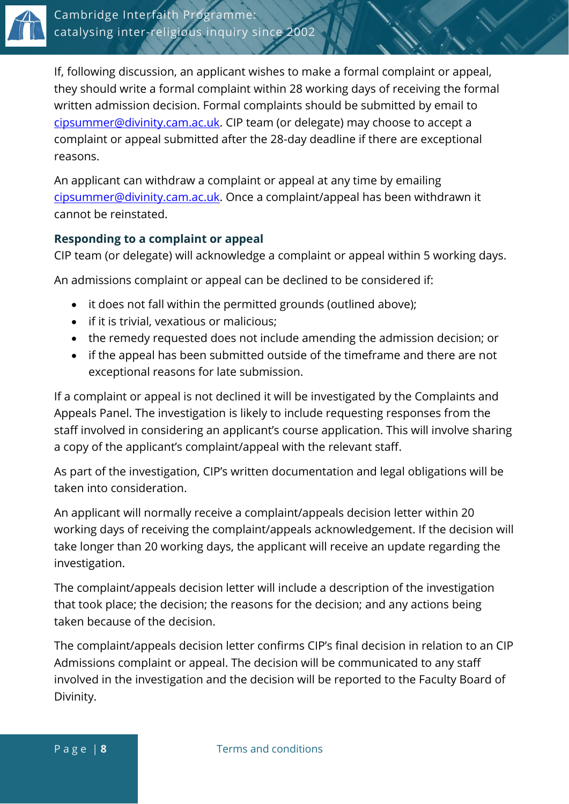

If, following discussion, an applicant wishes to make a formal complaint or appeal, they should write a formal complaint within 28 working days of receiving the formal written admission decision. Formal complaints should be submitted by email to [cipsummer@divinity.cam.ac.uk.](mailto:cipsummer@divinity.cam.ac.uk) CIP team (or delegate) may choose to accept a complaint or appeal submitted after the 28-day deadline if there are exceptional reasons.

An applicant can withdraw a complaint or appeal at any time by emailing [cipsummer@divinity.cam.ac.uk.](mailto:cipsummer@divinity.cam.ac.uk) Once a complaint/appeal has been withdrawn it cannot be reinstated.

#### **Responding to a complaint or appeal**

CIP team (or delegate) will acknowledge a complaint or appeal within 5 working days.

An admissions complaint or appeal can be declined to be considered if:

- it does not fall within the permitted grounds (outlined above);
- if it is trivial, vexatious or malicious;
- the remedy requested does not include amending the admission decision; or
- if the appeal has been submitted outside of the timeframe and there are not exceptional reasons for late submission.

If a complaint or appeal is not declined it will be investigated by the Complaints and Appeals Panel. The investigation is likely to include requesting responses from the staff involved in considering an applicant's course application. This will involve sharing a copy of the applicant's complaint/appeal with the relevant staff.

As part of the investigation, CIP's written documentation and legal obligations will be taken into consideration.

An applicant will normally receive a complaint/appeals decision letter within 20 working days of receiving the complaint/appeals acknowledgement. If the decision will take longer than 20 working days, the applicant will receive an update regarding the investigation.

The complaint/appeals decision letter will include a description of the investigation that took place; the decision; the reasons for the decision; and any actions being taken because of the decision.

The complaint/appeals decision letter confirms CIP's final decision in relation to an CIP Admissions complaint or appeal. The decision will be communicated to any staff involved in the investigation and the decision will be reported to the Faculty Board of Divinity.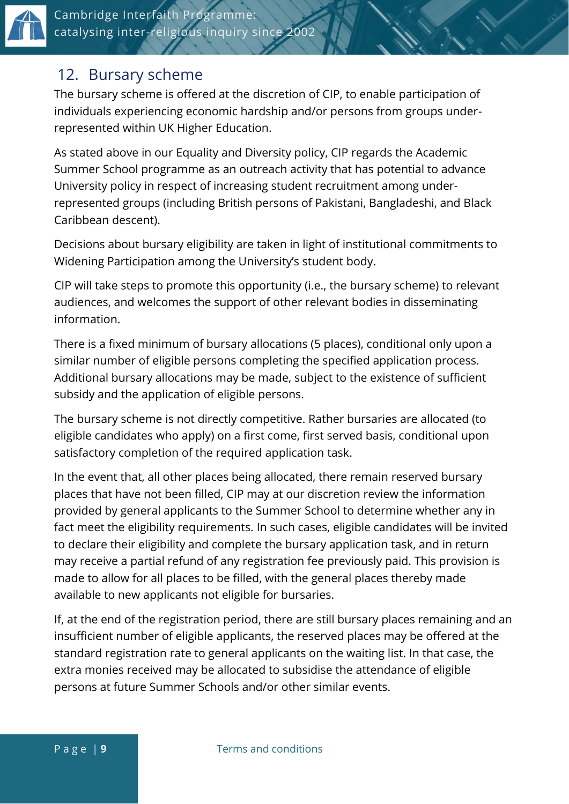

#### <span id="page-8-0"></span>12. Bursary scheme

The bursary scheme is offered at the discretion of CIP, to enable participation of individuals experiencing economic hardship and/or persons from groups underrepresented within UK Higher Education.

As stated above in our Equality and Diversity policy, CIP regards the Academic Summer School programme as an outreach activity that has potential to advance University policy in respect of increasing student recruitment among underrepresented groups (including British persons of Pakistani, Bangladeshi, and Black Caribbean descent).

Decisions about bursary eligibility are taken in light of institutional commitments to Widening Participation among the University's student body.

CIP will take steps to promote this opportunity (i.e., the bursary scheme) to relevant audiences, and welcomes the support of other relevant bodies in disseminating information.

There is a fixed minimum of bursary allocations (5 places), conditional only upon a similar number of eligible persons completing the specified application process. Additional bursary allocations may be made, subject to the existence of sufficient subsidy and the application of eligible persons.

The bursary scheme is not directly competitive. Rather bursaries are allocated (to eligible candidates who apply) on a first come, first served basis, conditional upon satisfactory completion of the required application task.

In the event that, all other places being allocated, there remain reserved bursary places that have not been filled, CIP may at our discretion review the information provided by general applicants to the Summer School to determine whether any in fact meet the eligibility requirements. In such cases, eligible candidates will be invited to declare their eligibility and complete the bursary application task, and in return may receive a partial refund of any registration fee previously paid. This provision is made to allow for all places to be filled, with the general places thereby made available to new applicants not eligible for bursaries.

If, at the end of the registration period, there are still bursary places remaining and an insufficient number of eligible applicants, the reserved places may be offered at the standard registration rate to general applicants on the waiting list. In that case, the extra monies received may be allocated to subsidise the attendance of eligible persons at future Summer Schools and/or other similar events.